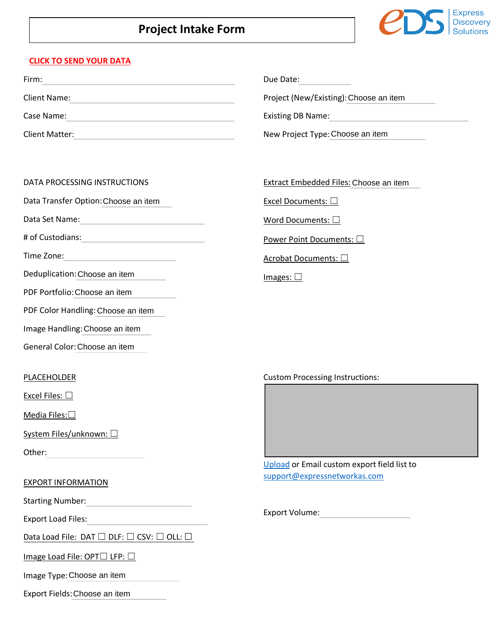### **Project Intake Form**



#### **[CLICK TO SEND YOUR DATA](https://add.ed.expressnetworkas.com/SelfService)**

| Firm:          | Due Date:                              |
|----------------|----------------------------------------|
| Client Name:   | Project (New/Existing): Choose an item |
| Case Name:     | <b>Existing DB Name:</b>               |
| Client Matter: | New Project Type: Choose an item       |

#### DATA PROCESSING INSTRUCTIONS

Data Transfer Option:

Data Set Name:

# of Custodians:

Time Zone:

Deduplication: Choose an item

PDF Portfolio: Choose an item

PDF Color Handling: Choose an item

Image Handling: Choose an item

General Color: Choose an item

#### PLACEHOLDER

Excel Files:  $\square$ 

Media Files:<sup>□</sup>

System Files/unknown: □

Other:

#### EXPORT INFORMATION

Starting Number: **Example 2018** 

Export Load Files:

Data Load File: DAT □ DLF: □ CSV: □ OLL:

Image Load File: OPT□ LFP: □

Image Type: Choose an item

Export Fields: Choose an item

# Extract Embedded Files: Choose an item Choose an item

Excel Documents: □

Word Documents: □

Power Point Documents: □

Acrobat Documents: □

Images: □

Custom Processing Instructions:



[Upload](https://expressnetworkas.sharefile.com/r-r9762464cd3b49758) or Email custom export field list to [support@expressnetworkas.com](mailto:support@expressnetworkas.com) 

Export Volume: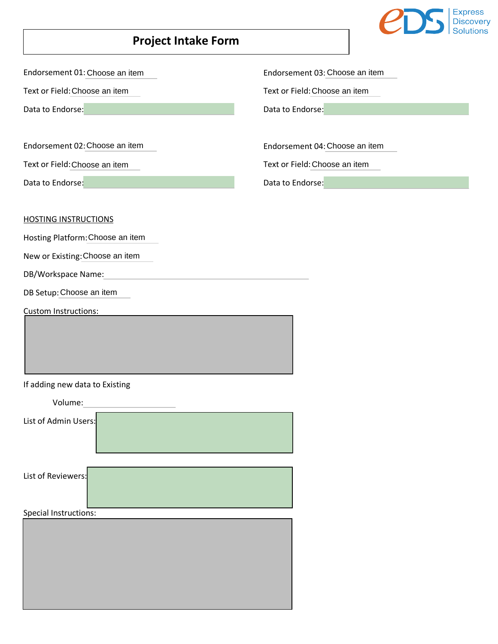

## **Project Intake Form**

Endorsement 01: Choose an item

Text or Field: Choose an item

Data to Endorse:

Endorsement 02:

Text or Field: Choose an item

Data to Endorse:

Endorsement 03:

Text or Field: Choose an item

Data to Endorse:

Endorsement 04: Choose an item Endorsement 03: Choose an item<br>Choose an item Text or Field: Choose an item<br>rse: Data to Endorse:<br>Choose an item Endorsement 04: Choose an item Choose an item Text or Field: Choose an item<br>
Text or Field: Choose an item<br>
Data to Endorse:<br>
Choose an item Endorsement 04: Choose an item<br>
Choose an item Text or Field: Choose an item

Text or Field: Choose an item

Data to Endorse:

HOSTING INSTRUCTIONS

Hosting Platform: Choose an item

New or Existing: Choose an item

DB/Workspace Name:

DB Setup: Choose an item

Custom Instructions:

If adding new data to Existing

| Volume:               |
|-----------------------|
| List of Admin Users:  |
|                       |
| List of Reviewers:    |
| Special Instructions: |
|                       |